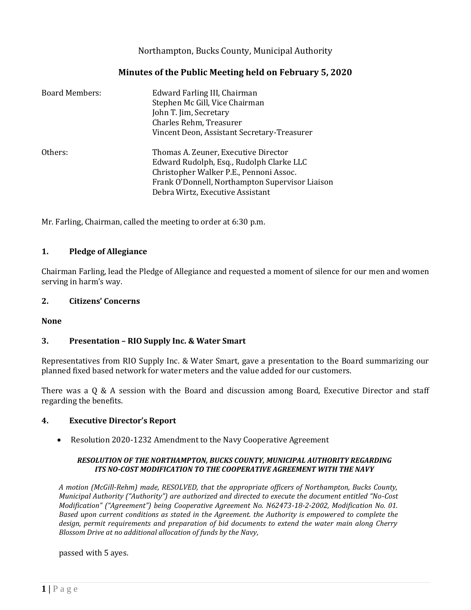Northampton, Bucks County, Municipal Authority

# **Minutes of the Public Meeting held on February 5, 2020**

| <b>Board Members:</b> | Edward Farling III, Chairman<br>Stephen Mc Gill, Vice Chairman<br>John T. Jim, Secretary<br>Charles Rehm, Treasurer<br>Vincent Deon, Assistant Secretary-Treasurer                                                 |
|-----------------------|--------------------------------------------------------------------------------------------------------------------------------------------------------------------------------------------------------------------|
| Others:               | Thomas A. Zeuner, Executive Director<br>Edward Rudolph, Esq., Rudolph Clarke LLC<br>Christopher Walker P.E., Pennoni Assoc.<br>Frank O'Donnell, Northampton Supervisor Liaison<br>Debra Wirtz, Executive Assistant |

Mr. Farling, Chairman, called the meeting to order at 6:30 p.m.

## **1. Pledge of Allegiance**

Chairman Farling, lead the Pledge of Allegiance and requested a moment of silence for our men and women serving in harm's way.

## **2. Citizens' Concerns**

#### **None**

## **3. Presentation – RIO Supply Inc. & Water Smart**

Representatives from RIO Supply Inc. & Water Smart, gave a presentation to the Board summarizing our planned fixed based network for water meters and the value added for our customers.

There was a Q & A session with the Board and discussion among Board, Executive Director and staff regarding the benefits.

## **4. Executive Director's Report**

• Resolution 2020-1232 Amendment to the Navy Cooperative Agreement

#### *RESOLUTION OF THE NORTHAMPTON, BUCKS COUNTY, MUNICIPAL AUTHORITY REGARDING ITS NO-COST MODIFICATION TO THE COOPERATIVE AGREEMENT WITH THE NAVY*

*A motion (McGill-Rehm) made, RESOLVED, that the appropriate officers of Northampton, Bucks County, Municipal Authority ("Authority") are authorized and directed to execute the document entitled "No-Cost Modification" ("Agreement") being Cooperative Agreement No. N62473-18-2-2002, Modification No. 01. Based upon current conditions as stated in the Agreement. the Authority is empowered to complete the design, permit requirements and preparation of bid documents to extend the water main along Cherry Blossom Drive at no additional allocation of funds by the Navy,*

passed with 5 ayes.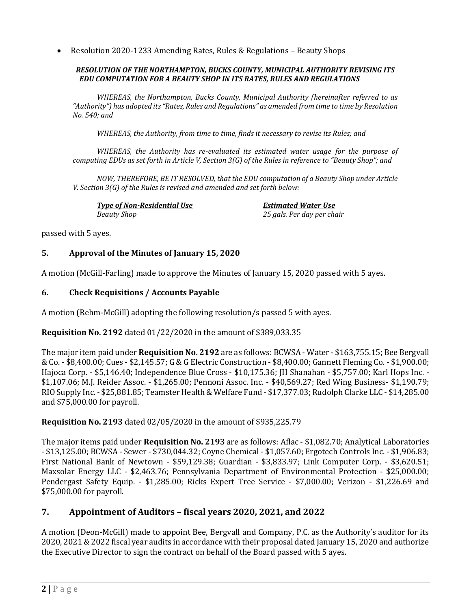• Resolution 2020-1233 Amending Rates, Rules & Regulations – Beauty Shops

#### *RESOLUTION OF THE NORTHAMPTON, BUCKS COUNTY, MUNICIPAL AUTHORITY REVISING ITS EDU COMPUTATION FOR A BEAUTY SHOP IN ITS RATES, RULES AND REGULATIONS*

*WHEREAS, the Northampton, Bucks County, Municipal Authority (hereinafter referred to as "Authority") has adopted its "Rates, Rules and Regulations" as amended from time to time by Resolution No. 540; and*

*WHEREAS, the Authority, from time to time, finds it necessary to revise its Rules; and*

*WHEREAS, the Authority has re-evaluated its estimated water usage for the purpose of computing EDUs as set forth in Article V, Section 3(G) of the Rules in reference to "Beauty Shop"; and*

*NOW, THEREFORE, BE IT RESOLVED, that the EDU computation of a Beauty Shop under Article V. Section 3(G) of the Rules is revised and amended and set forth below:*

*Type of Non-Residential Use Estimated Water Use Beauty Shop 25 gals. Per day per chair*

passed with 5 ayes.

## **5. Approval of the Minutes of January 15, 2020**

A motion (McGill-Farling) made to approve the Minutes of January 15, 2020 passed with 5 ayes.

## **6. Check Requisitions / Accounts Payable**

A motion (Rehm-McGill) adopting the following resolution/s passed 5 with ayes.

## **Requisition No. 2192** dated 01/22/2020 in the amount of \$389,033.35

The major item paid under **Requisition No. 2192** are as follows: BCWSA - Water - \$163,755.15; Bee Bergvall & Co. - \$8,400.00; Cues - \$2,145.57; G & G Electric Construction - \$8,400.00; Gannett Fleming Co. - \$1,900.00; Hajoca Corp. - \$5,146.40; Independence Blue Cross - \$10,175.36; JH Shanahan - \$5,757.00; Karl Hops Inc. - \$1,107.06; M.J. Reider Assoc. - \$1,265.00; Pennoni Assoc. Inc. - \$40,569.27; Red Wing Business- \$1,190.79; RIO Supply Inc. - \$25,881.85; Teamster Health & Welfare Fund - \$17,377.03; Rudolph Clarke LLC - \$14,285.00 and \$75,000.00 for payroll.

## **Requisition No. 2193** dated 02/05/2020 in the amount of \$935,225.79

The major items paid under **Requisition No. 2193** are as follows: Aflac - \$1,082.70; Analytical Laboratories - \$13,125.00; BCWSA - Sewer - \$730,044.32; Coyne Chemical - \$1,057.60; Ergotech Controls Inc. - \$1,906.83; First National Bank of Newtown - \$59,129.38; Guardian - \$3,833.97; Link Computer Corp. - \$3,620.51; Maxsolar Energy LLC - \$2,463.76; Pennsylvania Department of Environmental Protection - \$25,000.00; Pendergast Safety Equip. - \$1,285.00; Ricks Expert Tree Service - \$7,000.00; Verizon - \$1,226.69 and \$75,000.00 for payroll.

## **7. Appointment of Auditors – fiscal years 2020, 2021, and 2022**

A motion (Deon-McGill) made to appoint Bee, Bergvall and Company, P.C. as the Authority's auditor for its 2020, 2021 & 2022 fiscal year audits in accordance with their proposal dated January 15, 2020 and authorize the Executive Director to sign the contract on behalf of the Board passed with 5 ayes.